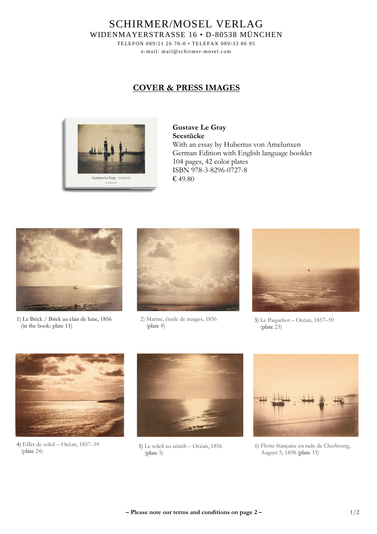SCHIRMER/MOSEL VERLAG WIDENMAYERSTRASSE 16 • D-80538 MÜNCHEN

> TELEFON 089/21 26 70-0 • TELEFAX 089/33 86 95 e-mail: mail@schirmer-mosel.com

## **COVER & PRESS IMAGES**



**Gustave Le Gray Seestücke**  With an essay by Hubertus von Amelunxen German Edition with English language booklet 104 pages, 42 color plates ISBN 978-3-8296-0727-8 € 49.80



1) Le Brick / Brick au clair de lune, 1856 (in the book: plate 11)



2) Marine, étude de nuages, 1856 (plate 8)



3) Le Paquebot – Océan, 1857–59 (plate 23)



 (plate 24) 4) Effet de soleil – Océan, 1857–59



5) Le soleil au zénith – Océan, 1856 (plate 5)



6) Flotte française en rade de Cherbourg, August 5, 1858 (plate 33)